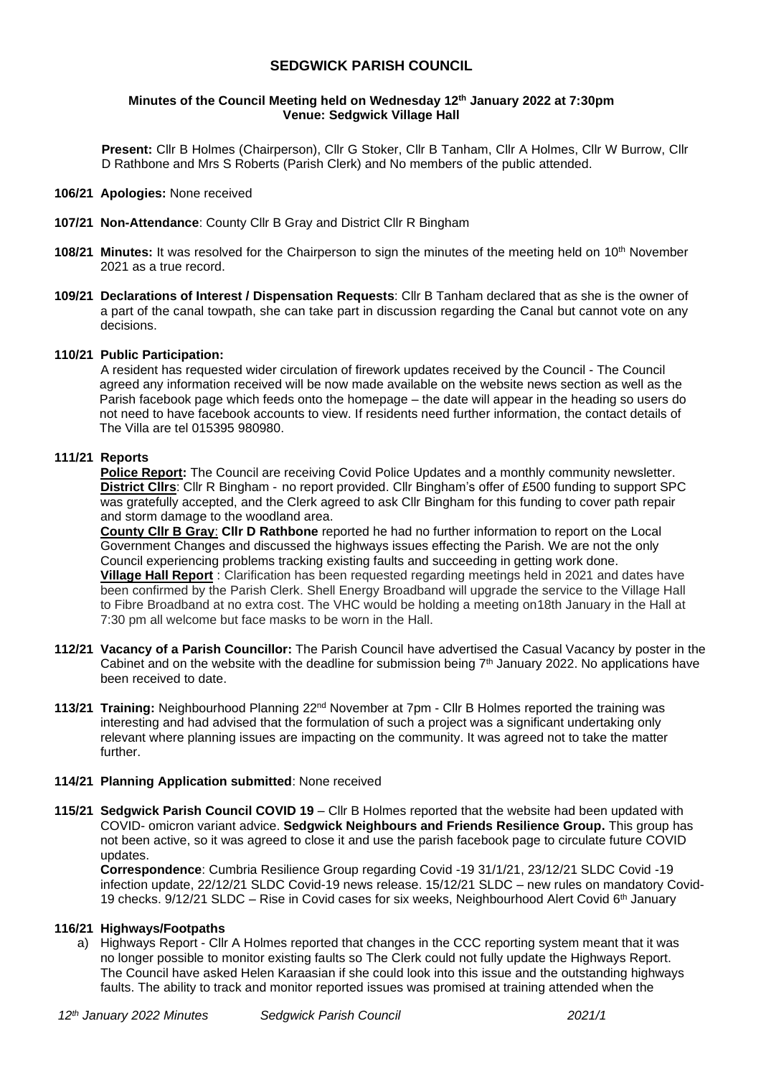# **SEDGWICK PARISH COUNCIL**

### **Minutes of the Council Meeting held on Wednesday 12 th January 2022 at 7:30pm Venue: Sedgwick Village Hall**

**Present:** Cllr B Holmes (Chairperson), Cllr G Stoker, Cllr B Tanham, Cllr A Holmes, Cllr W Burrow, Cllr D Rathbone and Mrs S Roberts (Parish Clerk) and No members of the public attended.

#### **106/21 Apologies:** None received

- **107/21 Non-Attendance**: County Cllr B Gray and District Cllr R Bingham
- **108/21 Minutes:** It was resolved for the Chairperson to sign the minutes of the meeting held on 10<sup>th</sup> November 2021 as a true record.
- **109/21 Declarations of Interest / Dispensation Requests**: Cllr B Tanham declared that as she is the owner of a part of the canal towpath, she can take part in discussion regarding the Canal but cannot vote on any decisions.

### **110/21 Public Participation:**

 A resident has requested wider circulation of firework updates received by the Council - The Council agreed any information received will be now made available on the website news section as well as the Parish facebook page which feeds onto the homepage – the date will appear in the heading so users do not need to have facebook accounts to view. If residents need further information, the contact details of The Villa are tel 015395 980980.

# **111/21 Reports**

**Police Report:** The Council are receiving Covid Police Updates and a monthly community newsletter. **District Cllrs**: Cllr R Bingham - no report provided. Cllr Bingham's offer of £500 funding to support SPC was gratefully accepted, and the Clerk agreed to ask Cllr Bingham for this funding to cover path repair and storm damage to the woodland area.

**County Cllr B Gray**: **Cllr D Rathbone** reported he had no further information to report on the Local Government Changes and discussed the highways issues effecting the Parish. We are not the only Council experiencing problems tracking existing faults and succeeding in getting work done. **Village Hall Report** : Clarification has been requested regarding meetings held in 2021 and dates have been confirmed by the Parish Clerk. Shell Energy Broadband will upgrade the service to the Village Hall to Fibre Broadband at no extra cost. The VHC would be holding a meeting on18th January in the Hall at 7:30 pm all welcome but face masks to be worn in the Hall.

- **112/21 Vacancy of a Parish Councillor:** The Parish Council have advertised the Casual Vacancy by poster in the Cabinet and on the website with the deadline for submission being  $7<sup>th</sup>$  January 2022. No applications have been received to date.
- **113/21 Training:** Neighbourhood Planning 22nd November at 7pm Cllr B Holmes reported the training was interesting and had advised that the formulation of such a project was a significant undertaking only relevant where planning issues are impacting on the community. It was agreed not to take the matter further.

## **114/21 Planning Application submitted**: None received

**115/21 Sedgwick Parish Council COVID 19** – Cllr B Holmes reported that the website had been updated with COVID- omicron variant advice. **Sedgwick Neighbours and Friends Resilience Group.** This group has not been active, so it was agreed to close it and use the parish facebook page to circulate future COVID updates.

**Correspondence**: Cumbria Resilience Group regarding Covid -19 31/1/21, 23/12/21 SLDC Covid -19 infection update, 22/12/21 SLDC Covid-19 news release. 15/12/21 SLDC – new rules on mandatory Covid-19 checks.  $9/12/21$  SLDC – Rise in Covid cases for six weeks, Neighbourhood Alert Covid 6<sup>th</sup> January

## **116/21 Highways/Footpaths**

a) Highways Report - Cllr A Holmes reported that changes in the CCC reporting system meant that it was no longer possible to monitor existing faults so The Clerk could not fully update the Highways Report. The Council have asked Helen Karaasian if she could look into this issue and the outstanding highways faults. The ability to track and monitor reported issues was promised at training attended when the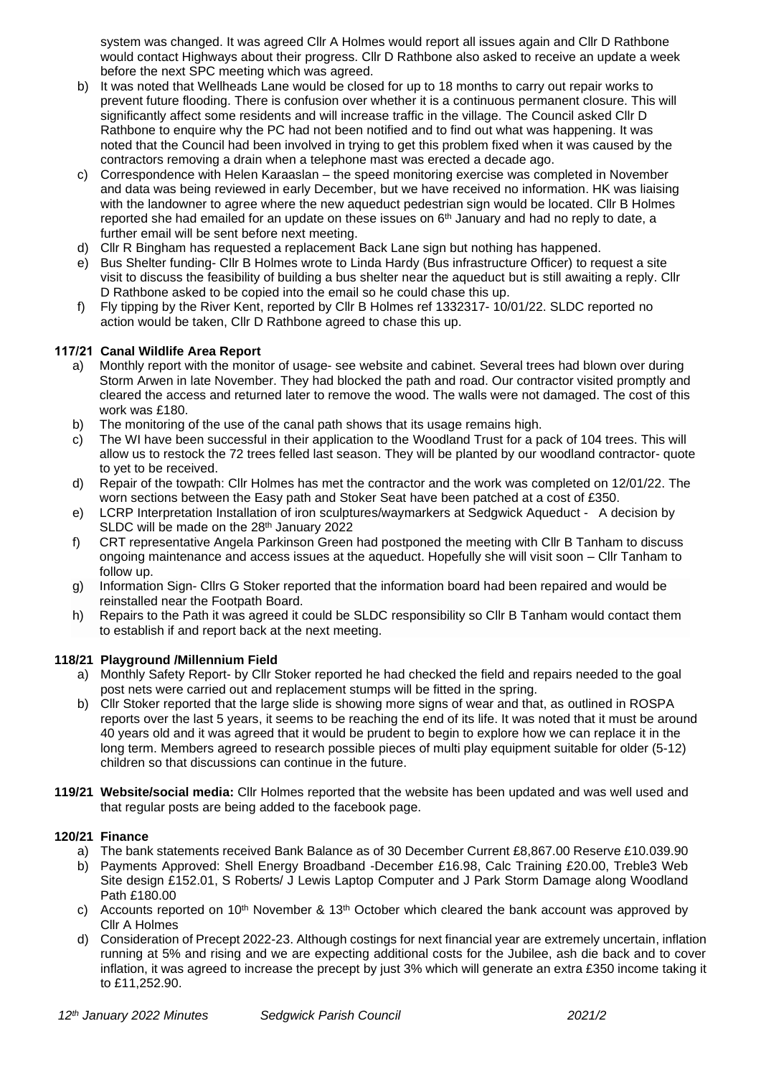system was changed. It was agreed Cllr A Holmes would report all issues again and Cllr D Rathbone would contact Highways about their progress. Cllr D Rathbone also asked to receive an update a week before the next SPC meeting which was agreed.

- b) It was noted that Wellheads Lane would be closed for up to 18 months to carry out repair works to prevent future flooding. There is confusion over whether it is a continuous permanent closure. This will significantly affect some residents and will increase traffic in the village. The Council asked Cllr D Rathbone to enquire why the PC had not been notified and to find out what was happening. It was noted that the Council had been involved in trying to get this problem fixed when it was caused by the contractors removing a drain when a telephone mast was erected a decade ago.
- c) Correspondence with Helen Karaaslan the speed monitoring exercise was completed in November and data was being reviewed in early December, but we have received no information. HK was liaising with the landowner to agree where the new aqueduct pedestrian sign would be located. Cllr B Holmes reported she had emailed for an update on these issues on 6<sup>th</sup> January and had no reply to date, a further email will be sent before next meeting.
- d) Cllr R Bingham has requested a replacement Back Lane sign but nothing has happened.
- e) Bus Shelter funding- Cllr B Holmes wrote to Linda Hardy (Bus infrastructure Officer) to request a site visit to discuss the feasibility of building a bus shelter near the aqueduct but is still awaiting a reply. Cllr D Rathbone asked to be copied into the email so he could chase this up.
- f) Fly tipping by the River Kent, reported by Cllr B Holmes ref 1332317- 10/01/22. SLDC reported no action would be taken, Cllr D Rathbone agreed to chase this up.

# **117/21 Canal Wildlife Area Report**

- a) Monthly report with the monitor of usage- see website and cabinet. Several trees had blown over during Storm Arwen in late November. They had blocked the path and road. Our contractor visited promptly and cleared the access and returned later to remove the wood. The walls were not damaged. The cost of this work was £180.
- b) The monitoring of the use of the canal path shows that its usage remains high.
- c) The WI have been successful in their application to the Woodland Trust for a pack of 104 trees. This will allow us to restock the 72 trees felled last season. They will be planted by our woodland contractor- quote to yet to be received.
- d) Repair of the towpath: Cllr Holmes has met the contractor and the work was completed on 12/01/22. The worn sections between the Easy path and Stoker Seat have been patched at a cost of £350.
- e) LCRP Interpretation Installation of iron sculptures/waymarkers at Sedgwick Aqueduct A decision by SLDC will be made on the 28<sup>th</sup> January 2022
- f) CRT representative Angela Parkinson Green had postponed the meeting with Cllr B Tanham to discuss ongoing maintenance and access issues at the aqueduct. Hopefully she will visit soon – Cllr Tanham to follow up.
- g) Information Sign- Cllrs G Stoker reported that the information board had been repaired and would be reinstalled near the Footpath Board.
- h) Repairs to the Path it was agreed it could be SLDC responsibility so Cllr B Tanham would contact them to establish if and report back at the next meeting.

## **118/21 Playground /Millennium Field**

- a) Monthly Safety Report- by Cllr Stoker reported he had checked the field and repairs needed to the goal post nets were carried out and replacement stumps will be fitted in the spring.
- b) Cllr Stoker reported that the large slide is showing more signs of wear and that, as outlined in ROSPA reports over the last 5 years, it seems to be reaching the end of its life. It was noted that it must be around 40 years old and it was agreed that it would be prudent to begin to explore how we can replace it in the long term. Members agreed to research possible pieces of multi play equipment suitable for older (5-12) children so that discussions can continue in the future.
- **119/21 Website/social media:** Cllr Holmes reported that the website has been updated and was well used and that regular posts are being added to the facebook page.

## **120/21 Finance**

- a) The bank statements received Bank Balance as of 30 December Current £8,867.00 Reserve £10.039.90
- b) Payments Approved: Shell Energy Broadband -December £16.98, Calc Training £20.00, Treble3 Web Site design £152.01, S Roberts/ J Lewis Laptop Computer and J Park Storm Damage along Woodland Path £180.00
- c) Accounts reported on 10<sup>th</sup> November & 13<sup>th</sup> October which cleared the bank account was approved by Cllr A Holmes
- d) Consideration of Precept 2022-23. Although costings for next financial year are extremely uncertain, inflation running at 5% and rising and we are expecting additional costs for the Jubilee, ash die back and to cover inflation, it was agreed to increase the precept by just 3% which will generate an extra £350 income taking it to £11,252.90.